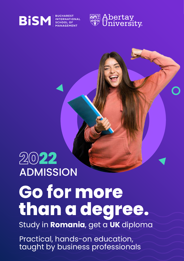



# **ADMISSION 22**

# **Go for more than a degree.**

Study in **Romania**, get a **UK** diploma

Practical, hands-on education, taught by business professionals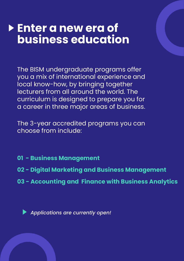### **Enter a new era of business education**

The BISM undergraduate programs offer you a mix of international experience and local know-how, by bringing together lecturers from all around the world. The curriculum is designed to prepare you for a career in three major areas of business.

The 3-year accredited programs you can choose from include:

- **01 Business Management**
- **02 Digital Marketing and Business Management**
- **03 Accounting and Finance with Business Analytics**

*Applications are currently open!*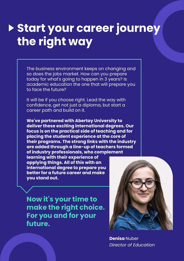# **Start your career journey the right way**

The business environment keeps on changing and so does the jobs market. How can you prepare today for what's going to happen in 3 years? Is academic education the one that will prepare you to face the future?

It will be if you choose right. Lead the way with confidence, get not just a diploma, but start a career path and build on it.

**We've partnered with Abertay University to deliver these exciting international degrees. Our focus is on the practical side of teaching and for placing the student experience at the core of their programs. The strong links with the industry are added through a line-up of teachers formed of industry professionals, who complement** 

**learning with their experience of applying things. All of this with an international degree to prepare you better for a future career and make you stand out.**

**Now it's your time to make the right choice. For you and for your future.**



**Denisa** Nuber *Director of Education*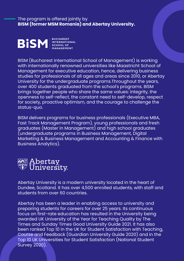The program is offered jointly by **BISM (former MSM Romania) and Abertay University.**



BISM (Bucharest International School of Management) is working with internationally renowned universities like Maastricht School of Management for executive education, hence, delivering business studies for professionals of all ages and areas since 2010, or Abertay University for the undergraduate programs.Throughout the years, over 400 students graduated from the school's programs. BISM brings together people who share the same values: integrity, the openness to self-reflect, the constant need to self-develop, respect for society, proactive optimism, and the courage to challenge the status-quo.

BISM delivers programs for business professionals (Executive MBA, Fast Track Management Program), young professionals and fresh graduates (Master in Management) and high school graduates (undergraduate programs in Business Management, Digital Marketing & Business Management and Accounting & Finance with Business Analytics).



Abertay University is a modern university located in the heart of Dundee, Scotland. It has over 4,500 enrolled students, with staff and students from over 60 countries.

Abertay has been a leader in enabling access to university and preparing students for careers for over 25 years. Its continuous focus on first-rate education has resulted in the University being awarded UK University of the Year for Teaching Quality by The Times and Sunday Times Good University Guide 2021. It has also been ranked Top 10 in the UK for Student Satisfaction with Teaching, Course and Feedback (Guardian University Guide 2020) and in the Top 10 UK Universities for Student Satisfaction (National Student Survey 2020).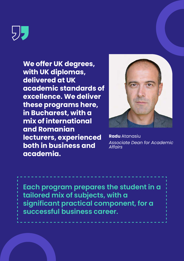リノ

**We offer UK degrees, with UK diplomas, delivered at UK academic standards of excellence. We deliver these programs here, in Bucharest, with a mix of international and Romanian lecturers, experienced both in business and academia.**



**Radu** Atanasiu *Associate Dean for Academic Affairs*

**Each program prepares the student in a tailored mix of subjects, with a significant practical component, for a successful business career.**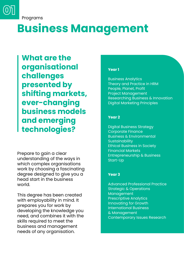

Programs

# **Business Management**

**What are the organisational challenges presented by shifting markets, ever-changing business models and emerging technologies?**

Prepare to gain a clear understanding of the ways in which complex organisations work by choosing a fascinating degree designed to give you a head start in the business world.

This degree has been created with employability in mind. It prepares you for work by developing the knowledge you need, and combines it with the skills required to meet the business and management needs of any organisation.

#### **Year 1**

Business Analytics Theory and Practice in HRM People, Planet, Profit Project Management Researching Business & Innovation Digital Marketing Principles

#### **Year 2**

Digital Business Strategy Corporate Finance Business & Environmental **Sustainability** Ethical Business in Society Financial Markets Entrepreneurship & Business Start-Up

#### **Year 3**

Advanced Professional Practice Strategic & Operations Management Prescriptive Analytics Innovating for Growth International Business & Management Contemporary Issues Research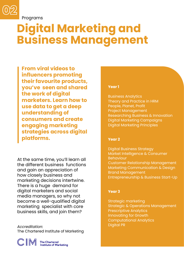

Programs

# **Digital Marketing and Business Management**

**From viral videos to influencers promoting their favourite products, you've seen and shared the work of digital marketers. Learn how to use data to get a deep understanding of consumers and create engaging marketing strategies across digital platforms.**

At the same time, you'll learn all the different business functions and gain an appreciation of how closely business and marketing decisions intertwine. There is a huge demand for digital marketers and social media managers, so why not become a well-qualified digital marketing specialist with core business skills, and join them?

*Accreditation:* The Chartered Institute of Marketing



#### **Year 1**

Business Analytics Theory and Practice in HRM People, Planet, Profit Project Management Researching Business & Innovation Digital Marketing Campaigns Digital Marketing Principles

#### **Year 2**

Digital Business Strategy Market Intelligence & Consumer Behaviour Customer Relationship Management Marketing Communication & Design Brand Management Entrepreneurship & Business Start-Up

#### **Year 3**

Strategic marketing Strategic & Operations Management Prescriptive Analytics Innovating for Growth Computational Analytics Digital PR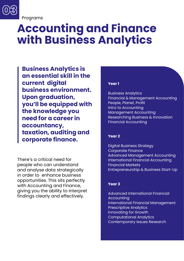

Programs

# **Accounting and Finance with Business Analytics**

**Business Analytics is an essential skill in the current digital business environment. Upon graduation, you'll be equipped with the knowledge you need for a career in accountancy, taxation, auditing and corporate finance.**

There's a critical need for people who can understand and analyse data strategically in order to enhance business opportunities. This sits perfectly with Accounting and Finance, giving you the ability to interpret findings clearly and effectively.

#### **Year 1**

Business Analytics Financial & Management Accounting People, Planet, Profit Intro to Accounting Management Accounting Researching Business & Innovation Financial Accounting

#### **Year 2**

Digital Business Strategy Corporate Finance Advanced Management Accounting International Financial Accounting Financial Markets Entrepreneurship & Business Start-Up

#### **Year 3**

Advanced International Financial Accounting International Financial Management Prescriptive Analytics Innovating for Growth Computational Analytics Contemporary Issues Research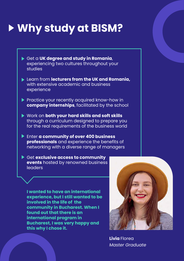# **Why study at BISM?**

- Get a **UK degree and study in Romania**, experiencing two cultures throughout your studies
- Learn from **lecturers from the UK and Romania,** with extensive academic and business experience
- Practice your recently acquired know-how in **company internships**, facilitated by the school
- Work on **both your hard skills and soft skills** through a curriculum designed to prepare you for the real requirements of the business world
- Enter **a community of over 400 business professionals** and experience the benefits of networking with a diverse range of managers
- Get **exclusive access to community events** hosted by renowned business leaders

**I wanted to have an international experience, but I still wanted to be involved in the life of the community in Bucharest. When I found out that there is an international program in Bucharest, I was very happy and this why I chose it.**



**Livia** Florea *Master Graduate*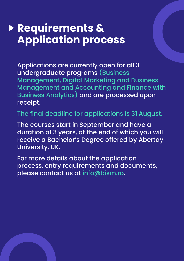### **Requirements & Application process**

Applications are currently open for all 3 undergraduate programs (Business Management, Digital Marketing and Business Management and Accounting and Finance with Business Analytics) and are processed upon receipt.

The final deadline for applications is 31 August.

The courses start in September and have a duration of 3 years, at the end of which you will receive a Bachelor's Degree offered by Abertay University, UK.

For more details about the application process, entry requirements and documents, please contact us at info@bism.ro.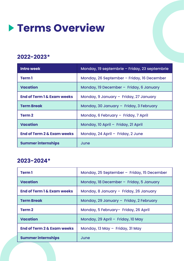### **Terms Overview**

### **2022-2023\***

| <b>Intro week</b>                     | Monday, 19 septembrie – Friday, 23 septembrie |
|---------------------------------------|-----------------------------------------------|
| <b>Term1</b>                          | Monday, 26 September - Friday, 16 December    |
| <b>Vacation</b>                       | Monday, 19 December - Friday, 6 January       |
| <b>End of Term 1 &amp; Exam weeks</b> | Monday, 9 January - Friday, 27 January        |
| <b>Term Break</b>                     | Monday, 30 January - Friday, 3 February       |
| <b>Term 2</b>                         | Monday, 6 February - Friday, 7 April          |
| <b>Vacation</b>                       | Monday, 10 April - Friday, 21 April           |
| <b>End of Term 2 &amp; Exam weeks</b> | Monday, 24 April - Friday, 2 June             |
| <b>Summer internships</b>             | June                                          |

### **2023-2024\***

| <b>Term1</b>                          | Monday, 25 September - Friday, 15 December |
|---------------------------------------|--------------------------------------------|
| <b>Vacation</b>                       | Monday, 18 December - Friday, 5 January    |
| <b>End of Term 1 &amp; Exam weeks</b> | Monday, 8 January - Friday, 26 January     |
| <b>Term Break</b>                     | Monday, 29 January - Friday, 2 February    |
| <b>Term 2</b>                         | Monday, 5 February- Friday, 26 April       |
| <b>Vacation</b>                       | Monday, 29 April - Friday, 10 May          |
| <b>End of Term 2 &amp; Exam weeks</b> | Monday, 13 May - Friday, 31 May            |
| <b>Summer internships</b>             | June                                       |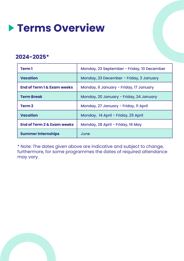

### **2024-2025\***

| <b>Term1</b>                          | Monday, 23 September - Friday, 10 December |
|---------------------------------------|--------------------------------------------|
| <b>Vacation</b>                       | Monday, 23 December - Friday, 3 January    |
| <b>End of Term 1 &amp; Exam weeks</b> | Monday, 6 January - Friday, 17 January     |
| <b>Term Break</b>                     | Monday, 20 January - Friday, 24 January    |
| <b>Term 2</b>                         | Monday, 27 January - Friday, Il April      |
| <b>Vacation</b>                       | Monday, 14 April - Friday, 25 April        |
| <b>End of Term 2 &amp; Exam weeks</b> | Monday, 28 April - Friday, 16 May          |
| <b>Summer internships</b>             | June                                       |

\* Note: The dates given above are indicative and subject to change, furthermore, for some programmes the dates of required attendance may vary.

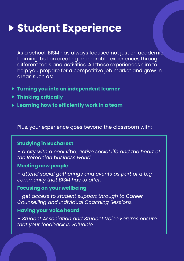# **Student Experience**

As a school, BISM has always focused not just on academic learning, but on creating memorable experiences through different tools and activities. All these experiences aim to help you prepare for a competitive job market and grow in areas such as:

- **Turning you into an independent learner**
- **Thinking critically**
- **Learning how to efficiently work in a team**

Plus, your experience goes beyond the classroom with:

### **Studying in Bucharest**

*– a city with a cool vibe, active social life and the heart of the Romanian business world.*

### **Meeting new people**

*– attend social gatherings and events as part of a big community that BISM has to offer.*

#### **Focusing on your wellbeing**

*– get access to student support through to Career Counselling and Individual Coaching Sessions.*

### **Having your voice heard**

*– Student Association and Student Voice Forums ensure that your feedback is valuable.*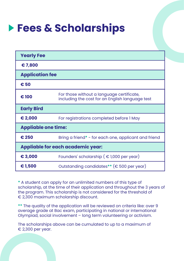# **Fees & Scholarships**

| <b>Yearly Fee</b>                        |                                                                                              |  |
|------------------------------------------|----------------------------------------------------------------------------------------------|--|
| €7,800                                   |                                                                                              |  |
| <b>Application fee</b>                   |                                                                                              |  |
| €50                                      |                                                                                              |  |
| € 100                                    | For those without a language certificate,<br>including the cost for an English language test |  |
| <b>Early Bird</b>                        |                                                                                              |  |
| € 2,000                                  | For registrations completed before I May                                                     |  |
| <b>Appliable one time:</b>               |                                                                                              |  |
| € 250                                    | Bring a friend* - for each one, applicant and friend                                         |  |
| <b>Appliable for each academic year:</b> |                                                                                              |  |
| € 3,000                                  | Founders' scholarship ( $\epsilon$ 1,000 per year)                                           |  |
| €1,500                                   | Outstanding candidates ** ( $\epsilon$ 500 per year)                                         |  |

**\*** A student can apply for an unlimited numbers of this type of scholarship, at the time of their application and throughout the 3 years of the program. This scholarship is not considered for the threshold of € 2,300 maximum scholarship discount.

**\*\*** The quality of the application will be reviewed on criteria like: over 9 average grade at Bac exam, participating in national or international Olympiad, social involvement – long term volunteering or activism.

The scholarships above can be cumulated to up to a maximum of € 2,300 per year.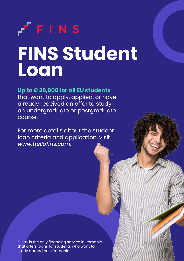# $F$  F I N S **FINS Student Loan**

### **Up to € 25,000 for all EU students**

that want to apply, applied, or have already received an offer to study an undergraduate or postgraduate course.

For more details about the student loan criteria and application, visit *www.hellofins.com.*

\* FINS is the only financing service in Romania that offers loans for students who want to study abroad or in Romania.